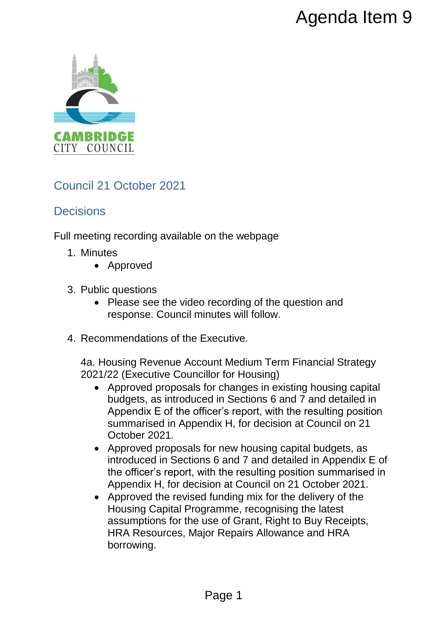

# Council 21 October 2021

# **Decisions**

Full meeting recording available on the webpage

- 1. Minutes
	- Approved
- 3. Public questions
	- Please see the video recording of the question and response. Council minutes will follow.
- 4. Recommendations of the Executive.

4a. Housing Revenue Account Medium Term Financial Strategy 2021/22 (Executive Councillor for Housing)

- Approved proposals for changes in existing housing capital budgets, as introduced in Sections 6 and 7 and detailed in Appendix E of the officer's report, with the resulting position summarised in Appendix H, for decision at Council on 21 October 2021. Agenda Item 9<br>
non the webpage<br>
recording of the question and<br>
nutes will follow.<br>
Executive.<br>
Executive.<br>
nunt Medium Term Financial Strategy<br>
for changes in existing housing capital<br>
of the resulting position<br>
of the res
- Approved proposals for new housing capital budgets, as introduced in Sections 6 and 7 and detailed in Appendix E of the officer's report, with the resulting position summarised in Appendix H, for decision at Council on 21 October 2021.
- Approved the revised funding mix for the delivery of the Housing Capital Programme, recognising the latest assumptions for the use of Grant, Right to Buy Receipts, HRA Resources, Major Repairs Allowance and HRA borrowing.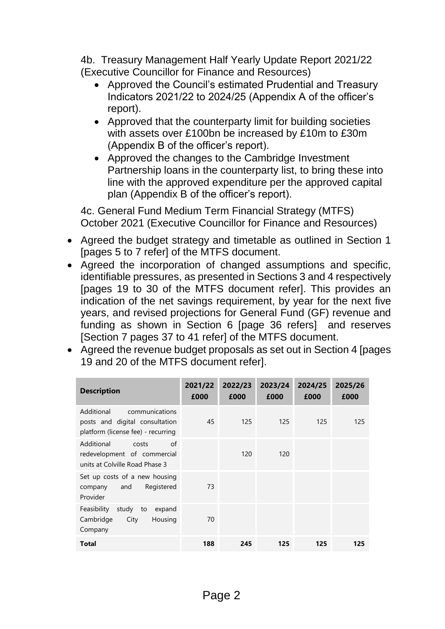4b. Treasury Management Half Yearly Update Report 2021/22 (Executive Councillor for Finance and Resources)

- Approved the Council's estimated Prudential and Treasury Indicators 2021/22 to 2024/25 (Appendix A of the officer's report).
- Approved that the counterparty limit for building societies with assets over £100bn be increased by £10m to £30m (Appendix B of the officer's report).
- Approved the changes to the Cambridge Investment Partnership loans in the counterparty list, to bring these into line with the approved expenditure per the approved capital plan (Appendix B of the officer's report).

4c. General Fund Medium Term Financial Strategy (MTFS) October 2021 (Executive Councillor for Finance and Resources)

- Agreed the budget strategy and timetable as outlined in Section 1 [pages 5 to 7 refer] of the MTFS document.
- Agreed the incorporation of changed assumptions and specific, identifiable pressures, as presented in Sections 3 and 4 respectively [pages 19 to 30 of the MTFS document refer]. This provides an indication of the net savings requirement, by year for the next five years, and revised projections for General Fund (GF) revenue and funding as shown in Section 6 [page 36 refers] and reserves [Section 7 pages 37 to 41 refer] of the MTFS document.
- Agreed the revenue budget proposals as set out in Section 4 [pages 19 and 20 of the MTFS document refer].

| <b>Description</b>                                                                                   | 2021/22<br>£000 | 2022/23<br>£000 | 2023/24<br>£000 | 2024/25<br>£000 | 2025/26<br>£000 |
|------------------------------------------------------------------------------------------------------|-----------------|-----------------|-----------------|-----------------|-----------------|
| communications<br>Additional<br>posts and digital consultation<br>platform (license fee) - recurring | 45              | 125             | 125             | 125             | 125             |
| Additional<br>of<br>costs<br>redevelopment of commercial<br>units at Colville Road Phase 3           |                 | 120             | 120             |                 |                 |
| Set up costs of a new housing<br>Registered<br>and<br>company<br>Provider                            | 73              |                 |                 |                 |                 |
| Feasibility<br>study<br>expand<br>to<br>Housing<br>Cambridge<br>City<br>Company                      | 70              |                 |                 |                 |                 |
| Total                                                                                                | 188             | 245             | 125             | 125             | 125             |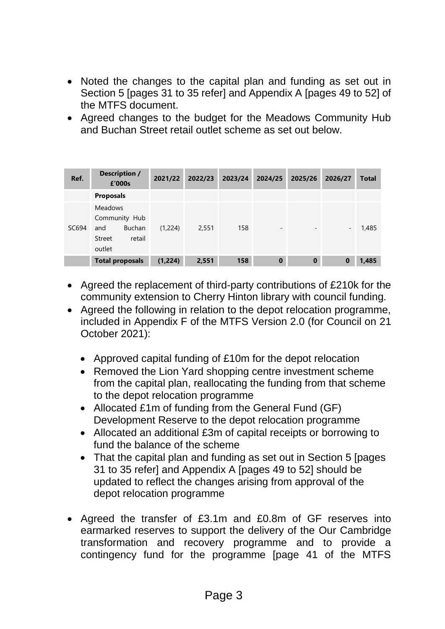- Noted the changes to the capital plan and funding as set out in Section 5 [pages 31 to 35 refer] and Appendix A [pages 49 to 52] of the MTFS document.
- Agreed changes to the budget for the Meadows Community Hub and Buchan Street retail outlet scheme as set out below.

| Ref.  | Description /<br>£'000s                                                               | 2021/22 | 2022/23 | 2023/24 | 2024/25                  | 2025/26                  | 2026/27                  | <b>Total</b> |
|-------|---------------------------------------------------------------------------------------|---------|---------|---------|--------------------------|--------------------------|--------------------------|--------------|
|       | <b>Proposals</b>                                                                      |         |         |         |                          |                          |                          |              |
| SC694 | <b>Meadows</b><br>Community Hub<br><b>Buchan</b><br>and<br>retail<br>Street<br>outlet | (1,224) | 2,551   | 158     | $\overline{\phantom{a}}$ | $\overline{\phantom{a}}$ | $\overline{\phantom{a}}$ | 1,485        |
|       | <b>Total proposals</b>                                                                | (1,224) | 2,551   | 158     | $\bf{0}$                 | $\mathbf 0$              | 0                        | 1,485        |

- Agreed the replacement of third-party contributions of £210k for the community extension to Cherry Hinton library with council funding.
- Agreed the following in relation to the depot relocation programme, included in Appendix F of the MTFS Version 2.0 (for Council on 21 October 2021):
	- Approved capital funding of £10m for the depot relocation
	- Removed the Lion Yard shopping centre investment scheme from the capital plan, reallocating the funding from that scheme to the depot relocation programme
	- Allocated £1m of funding from the General Fund (GF) Development Reserve to the depot relocation programme
	- Allocated an additional £3m of capital receipts or borrowing to fund the balance of the scheme
	- That the capital plan and funding as set out in Section 5 [pages 31 to 35 refer] and Appendix A [pages 49 to 52] should be updated to reflect the changes arising from approval of the depot relocation programme
- Agreed the transfer of £3.1m and £0.8m of GF reserves into earmarked reserves to support the delivery of the Our Cambridge transformation and recovery programme and to provide a contingency fund for the programme [page 41 of the MTFS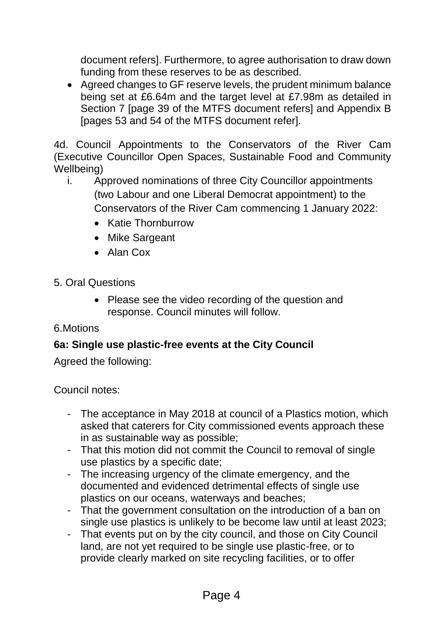document refers]. Furthermore, to agree authorisation to draw down funding from these reserves to be as described.

 Agreed changes to GF reserve levels, the prudent minimum balance being set at £6.64m and the target level at £7.98m as detailed in Section 7 [page 39 of the MTFS document refers] and Appendix B [pages 53 and 54 of the MTFS document refer].

4d. Council Appointments to the Conservators of the River Cam (Executive Councillor Open Spaces, Sustainable Food and Community Wellbeing)

- i. Approved nominations of three City Councillor appointments (two Labour and one Liberal Democrat appointment) to the Conservators of the River Cam commencing 1 January 2022:
	- Katie Thornburrow
	- Mike Sargeant
	- Alan Cox
- 5. Oral Questions
	- Please see the video recording of the question and response. Council minutes will follow.

#### 6.Motions

#### **6a: Single use plastic-free events at the City Council**

Agreed the following:

Council notes:

- The acceptance in May 2018 at council of a Plastics motion, which asked that caterers for City commissioned events approach these in as sustainable way as possible;
- That this motion did not commit the Council to removal of single use plastics by a specific date;
- The increasing urgency of the climate emergency, and the documented and evidenced detrimental effects of single use plastics on our oceans, waterways and beaches;
- That the government consultation on the introduction of a ban on single use plastics is unlikely to be become law until at least 2023;
- That events put on by the city council, and those on City Council land, are not yet required to be single use plastic-free, or to provide clearly marked on site recycling facilities, or to offer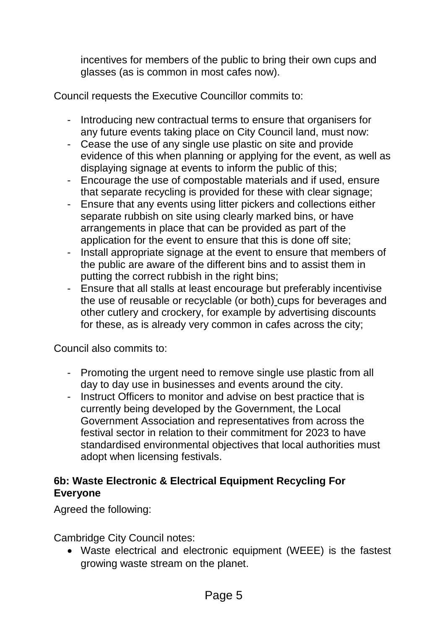incentives for members of the public to bring their own cups and glasses (as is common in most cafes now).

Council requests the Executive Councillor commits to:

- Introducing new contractual terms to ensure that organisers for any future events taking place on City Council land, must now:
- Cease the use of any single use plastic on site and provide evidence of this when planning or applying for the event, as well as displaying signage at events to inform the public of this;
- Encourage the use of compostable materials and if used, ensure that separate recycling is provided for these with clear signage;
- Ensure that any events using litter pickers and collections either separate rubbish on site using clearly marked bins, or have arrangements in place that can be provided as part of the application for the event to ensure that this is done off site;
- Install appropriate signage at the event to ensure that members of the public are aware of the different bins and to assist them in putting the correct rubbish in the right bins;
- Ensure that all stalls at least encourage but preferably incentivise the use of reusable or recyclable (or both) cups for beverages and other cutlery and crockery, for example by advertising discounts for these, as is already very common in cafes across the city;

Council also commits to:

- Promoting the urgent need to remove single use plastic from all day to day use in businesses and events around the city.
- Instruct Officers to monitor and advise on best practice that is currently being developed by the Government, the Local Government Association and representatives from across the festival sector in relation to their commitment for 2023 to have standardised environmental objectives that local authorities must adopt when licensing festivals.

#### **6b: Waste Electronic & Electrical Equipment Recycling For Everyone**

Agreed the following:

Cambridge City Council notes:

 Waste electrical and electronic equipment (WEEE) is the fastest growing waste stream on the planet.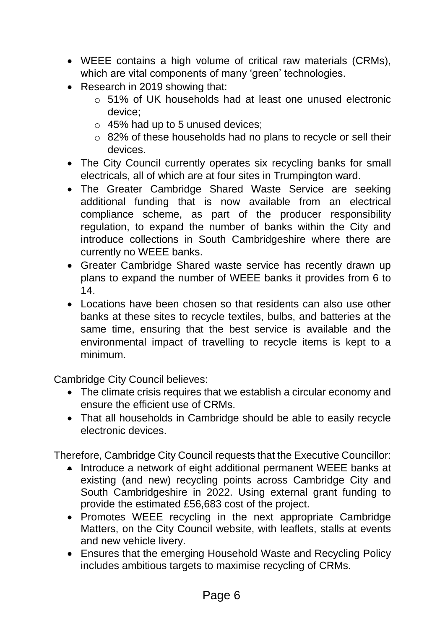- WEEE contains a high volume of critical raw materials (CRMs), which are vital components of many 'green' technologies.
- Research in 2019 showing that:
	- o 51% of UK households had at least one unused electronic device;
	- $\circ$  45% had up to 5 unused devices;
	- o 82% of these households had no plans to recycle or sell their devices.
- The City Council currently operates six recycling banks for small electricals, all of which are at four sites in Trumpington ward.
- The Greater Cambridge Shared Waste Service are seeking additional funding that is now available from an electrical compliance scheme, as part of the producer responsibility regulation, to expand the number of banks within the City and introduce collections in South Cambridgeshire where there are currently no WEEE banks.
- Greater Cambridge Shared waste service has recently drawn up plans to expand the number of WEEE banks it provides from 6 to 14.
- Locations have been chosen so that residents can also use other banks at these sites to recycle textiles, bulbs, and batteries at the same time, ensuring that the best service is available and the environmental impact of travelling to recycle items is kept to a minimum.

Cambridge City Council believes:

- The climate crisis requires that we establish a circular economy and ensure the efficient use of CRMs.
- That all households in Cambridge should be able to easily recycle electronic devices.

Therefore, Cambridge City Council requests that the Executive Councillor:

- Introduce a network of eight additional permanent WEEE banks at existing (and new) recycling points across Cambridge City and South Cambridgeshire in 2022. Using external grant funding to provide the estimated £56,683 cost of the project.
- Promotes WEEE recycling in the next appropriate Cambridge Matters, on the City Council website, with leaflets, stalls at events and new vehicle livery.
- Ensures that the emerging Household Waste and Recycling Policy includes ambitious targets to maximise recycling of CRMs.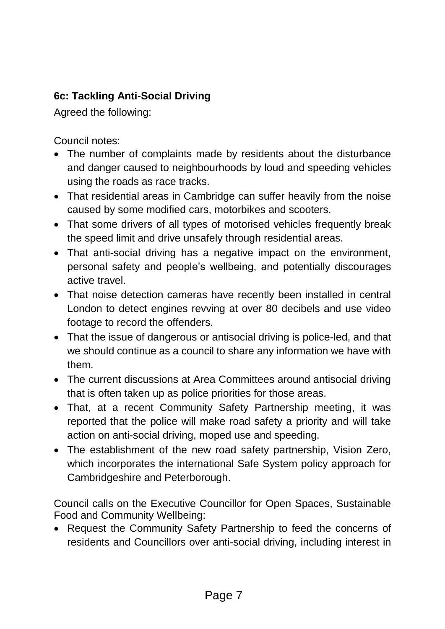## **6c: Tackling Anti-Social Driving**

Agreed the following:

Council notes:

- The number of complaints made by residents about the disturbance and danger caused to neighbourhoods by loud and speeding vehicles using the roads as race tracks.
- That residential areas in Cambridge can suffer heavily from the noise caused by some modified cars, motorbikes and scooters.
- That some drivers of all types of motorised vehicles frequently break the speed limit and drive unsafely through residential areas.
- That anti-social driving has a negative impact on the environment, personal safety and people's wellbeing, and potentially discourages active travel.
- That noise detection cameras have recently been installed in central London to detect engines revving at over 80 decibels and use video footage to record the offenders.
- That the issue of dangerous or antisocial driving is police-led, and that we should continue as a council to share any information we have with them.
- The current discussions at Area Committees around antisocial driving that is often taken up as police priorities for those areas.
- That, at a recent Community Safety Partnership meeting, it was reported that the police will make road safety a priority and will take action on anti-social driving, moped use and speeding.
- The establishment of the new road safety partnership, Vision Zero, which incorporates the international Safe System policy approach for Cambridgeshire and Peterborough.

Council calls on the Executive Councillor for Open Spaces, Sustainable Food and Community Wellbeing:

 Request the Community Safety Partnership to feed the concerns of residents and Councillors over anti-social driving, including interest in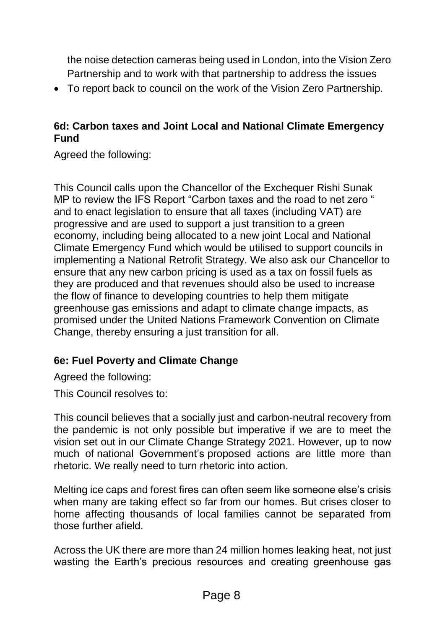the noise detection cameras being used in London, into the Vision Zero Partnership and to work with that partnership to address the issues

To report back to council on the work of the Vision Zero Partnership.

#### **6d: Carbon taxes and Joint Local and National Climate Emergency Fund**

Agreed the following:

This Council calls upon the Chancellor of the Exchequer Rishi Sunak MP to review the IFS Report "Carbon taxes and the road to net zero " and to enact legislation to ensure that all taxes (including VAT) are progressive and are used to support a just transition to a green economy, including being allocated to a new joint Local and National Climate Emergency Fund which would be utilised to support councils in implementing a National Retrofit Strategy. We also ask our Chancellor to ensure that any new carbon pricing is used as a tax on fossil fuels as they are produced and that revenues should also be used to increase the flow of finance to developing countries to help them mitigate greenhouse gas emissions and adapt to climate change impacts, as promised under the United Nations Framework Convention on Climate Change, thereby ensuring a just transition for all.

#### **6e: Fuel Poverty and Climate Change**

Agreed the following:

This Council resolves to:

This council believes that a socially just and carbon-neutral recovery from the pandemic is not only possible but imperative if we are to meet the vision set out in our Climate Change Strategy 2021. However, up to now much of national Government's proposed actions are little more than rhetoric. We really need to turn rhetoric into action.

Melting ice caps and forest fires can often seem like someone else's crisis when many are taking effect so far from our homes. But crises closer to home affecting thousands of local families cannot be separated from those further afield.

Across the UK there are more than 24 million homes leaking heat, not just wasting the Earth's precious resources and creating greenhouse gas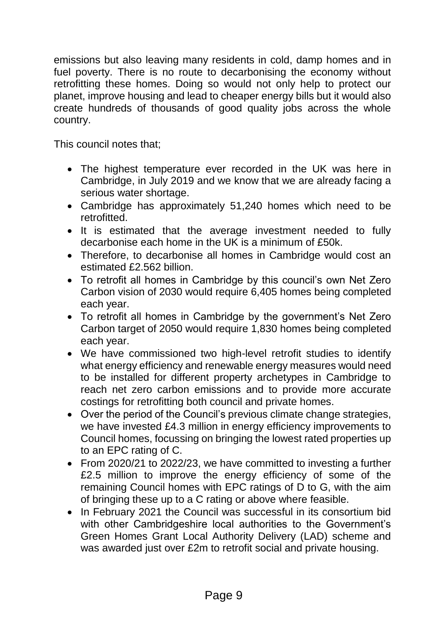emissions but also leaving many residents in cold, damp homes and in fuel poverty. There is no route to decarbonising the economy without retrofitting these homes. Doing so would not only help to protect our planet, improve housing and lead to cheaper energy bills but it would also create hundreds of thousands of good quality jobs across the whole country.

This council notes that;

- The highest temperature ever recorded in the UK was here in Cambridge, in July 2019 and we know that we are already facing a serious water shortage.
- Cambridge has approximately 51,240 homes which need to be retrofitted.
- It is estimated that the average investment needed to fully decarbonise each home in the UK is a minimum of £50k.
- Therefore, to decarbonise all homes in Cambridge would cost an estimated £2.562 billion.
- To retrofit all homes in Cambridge by this council's own Net Zero Carbon vision of 2030 would require 6,405 homes being completed each year.
- To retrofit all homes in Cambridge by the government's Net Zero Carbon target of 2050 would require 1,830 homes being completed each year.
- We have commissioned two high-level retrofit studies to identify what energy efficiency and renewable energy measures would need to be installed for different property archetypes in Cambridge to reach net zero carbon emissions and to provide more accurate costings for retrofitting both council and private homes.
- Over the period of the Council's previous climate change strategies, we have invested £4.3 million in energy efficiency improvements to Council homes, focussing on bringing the lowest rated properties up to an EPC rating of C.
- From 2020/21 to 2022/23, we have committed to investing a further £2.5 million to improve the energy efficiency of some of the remaining Council homes with EPC ratings of D to G, with the aim of bringing these up to a C rating or above where feasible.
- In February 2021 the Council was successful in its consortium bid with other Cambridgeshire local authorities to the Government's Green Homes Grant Local Authority Delivery (LAD) scheme and was awarded just over £2m to retrofit social and private housing.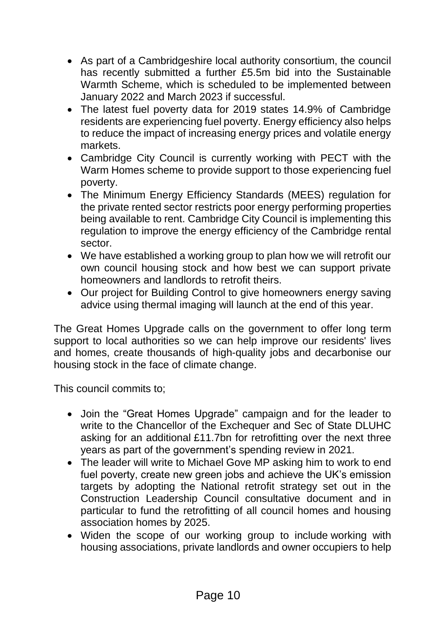- As part of a Cambridgeshire local authority consortium, the council has recently submitted a further £5.5m bid into the Sustainable Warmth Scheme, which is scheduled to be implemented between January 2022 and March 2023 if successful.
- The latest fuel poverty data for 2019 states 14.9% of Cambridge residents are experiencing fuel poverty. Energy efficiency also helps to reduce the impact of increasing energy prices and volatile energy markets.
- Cambridge City Council is currently working with PECT with the Warm Homes scheme to provide support to those experiencing fuel poverty.
- The Minimum Energy Efficiency Standards (MEES) regulation for the private rented sector restricts poor energy performing properties being available to rent. Cambridge City Council is implementing this regulation to improve the energy efficiency of the Cambridge rental sector.
- We have established a working group to plan how we will retrofit our own council housing stock and how best we can support private homeowners and landlords to retrofit theirs.
- Our project for Building Control to give homeowners energy saving advice using thermal imaging will launch at the end of this year.

The Great Homes Upgrade calls on the government to offer long term support to local authorities so we can help improve our residents' lives and homes, create thousands of high-quality jobs and decarbonise our housing stock in the face of climate change.

This council commits to;

- Join the "Great Homes Upgrade" campaign and for the leader to write to the Chancellor of the Exchequer and Sec of State DLUHC asking for an additional £11.7bn for retrofitting over the next three years as part of the government's spending review in 2021.
- The leader will write to Michael Gove MP asking him to work to end fuel poverty, create new green jobs and achieve the UK's emission targets by adopting the National retrofit strategy set out in the Construction Leadership Council consultative document and in particular to fund the retrofitting of all council homes and housing association homes by 2025.
- Widen the scope of our working group to include working with housing associations, private landlords and owner occupiers to help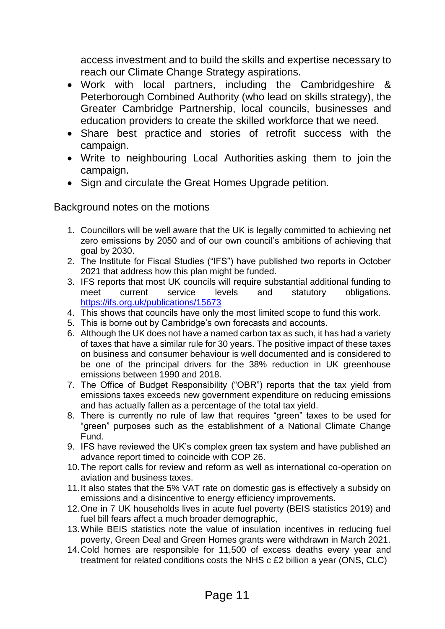access investment and to build the skills and expertise necessary to reach our Climate Change Strategy aspirations.

- Work with local partners, including the Cambridgeshire & Peterborough Combined Authority (who lead on skills strategy), the Greater Cambridge Partnership, local councils, businesses and education providers to create the skilled workforce that we need.
- Share best practice and stories of retrofit success with the campaign.
- Write to neighbouring Local Authorities asking them to join the campaign.
- Sign and circulate the Great Homes Upgrade petition.

Background notes on the motions

- 1. Councillors will be well aware that the UK is legally committed to achieving net zero emissions by 2050 and of our own council's ambitions of achieving that goal by 2030.
- 2. The Institute for Fiscal Studies ("IFS") have published two reports in October 2021 that address how this plan might be funded.
- 3. IFS reports that most UK councils will require substantial additional funding to meet current service levels and statutory obligations. <https://ifs.org.uk/publications/15673>
- 4. This shows that councils have only the most limited scope to fund this work.
- 5. This is borne out by Cambridge's own forecasts and accounts.
- 6. Although the UK does not have a named carbon tax as such, it has had a variety of taxes that have a similar rule for 30 years. The positive impact of these taxes on business and consumer behaviour is well documented and is considered to be one of the principal drivers for the 38% reduction in UK greenhouse emissions between 1990 and 2018.
- 7. The Office of Budget Responsibility ("OBR") reports that the tax yield from emissions taxes exceeds new government expenditure on reducing emissions and has actually fallen as a percentage of the total tax yield.
- 8. There is currently no rule of law that requires "green" taxes to be used for "green" purposes such as the establishment of a National Climate Change Fund.
- 9. IFS have reviewed the UK's complex green tax system and have published an advance report timed to coincide with COP 26.
- 10.The report calls for review and reform as well as international co-operation on aviation and business taxes.
- 11.It also states that the 5% VAT rate on domestic gas is effectively a subsidy on emissions and a disincentive to energy efficiency improvements.
- 12.One in 7 UK households lives in acute fuel poverty (BEIS statistics 2019) and fuel bill fears affect a much broader demographic,
- 13.While BEIS statistics note the value of insulation incentives in reducing fuel poverty, Green Deal and Green Homes grants were withdrawn in March 2021.
- 14.Cold homes are responsible for 11,500 of excess deaths every year and treatment for related conditions costs the NHS c £2 billion a year (ONS, CLC)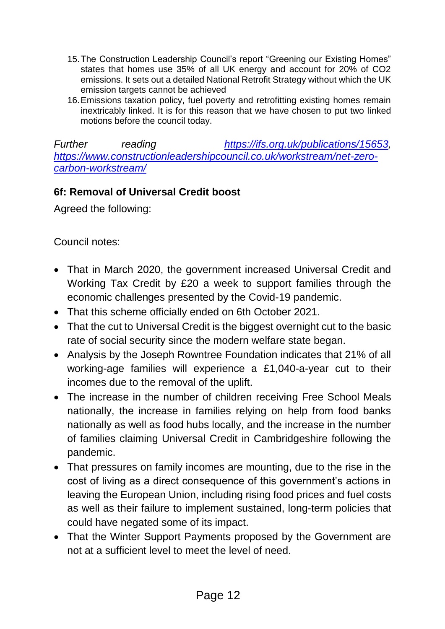- 15.The Construction Leadership Council's report "Greening our Existing Homes" states that homes use 35% of all UK energy and account for 20% of CO2 emissions. It sets out a detailed National Retrofit Strategy without which the UK emission targets cannot be achieved
- 16.Emissions taxation policy, fuel poverty and retrofitting existing homes remain inextricably linked. It is for this reason that we have chosen to put two linked motions before the council today.

*Further reading [https://ifs.org.uk/publications/15653,](https://ifs.org.uk/publications/15653) [https://www.constructionleadershipcouncil.co.uk/workstream/net-zero](https://www.constructionleadershipcouncil.co.uk/workstream/net-zero-carbon-workstream/)[carbon-workstream/](https://www.constructionleadershipcouncil.co.uk/workstream/net-zero-carbon-workstream/)*

#### **6f: Removal of Universal Credit boost**

Agreed the following:

Council notes:

- That in March 2020, the government increased Universal Credit and Working Tax Credit by £20 a week to support families through the economic challenges presented by the Covid-19 pandemic.
- That this scheme officially ended on 6th October 2021.
- That the cut to Universal Credit is the biggest overnight cut to the basic rate of social security since the modern welfare state began.
- Analysis by the Joseph Rowntree Foundation indicates that 21% of all working-age families will experience a £1,040-a-year cut to their incomes due to the removal of the uplift.
- The increase in the number of children receiving Free School Meals nationally, the increase in families relying on help from food banks nationally as well as food hubs locally, and the increase in the number of families claiming Universal Credit in Cambridgeshire following the pandemic.
- That pressures on family incomes are mounting, due to the rise in the cost of living as a direct consequence of this government's actions in leaving the European Union, including rising food prices and fuel costs as well as their failure to implement sustained, long-term policies that could have negated some of its impact.
- That the Winter Support Payments proposed by the Government are not at a sufficient level to meet the level of need.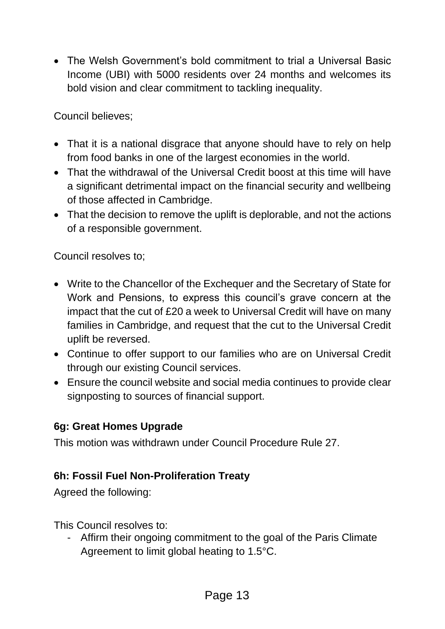The Welsh Government's bold commitment to trial a Universal Basic Income (UBI) with 5000 residents over 24 months and welcomes its bold vision and clear commitment to tackling inequality.

Council believes;

- That it is a national disgrace that anyone should have to rely on help from food banks in one of the largest economies in the world.
- That the withdrawal of the Universal Credit boost at this time will have a significant detrimental impact on the financial security and wellbeing of those affected in Cambridge.
- That the decision to remove the uplift is deplorable, and not the actions of a responsible government.

Council resolves to;

- Write to the Chancellor of the Exchequer and the Secretary of State for Work and Pensions, to express this council's grave concern at the impact that the cut of £20 a week to Universal Credit will have on many families in Cambridge, and request that the cut to the Universal Credit uplift be reversed.
- Continue to offer support to our families who are on Universal Credit through our existing Council services.
- Ensure the council website and social media continues to provide clear signposting to sources of financial support.

#### **6g: Great Homes Upgrade**

This motion was withdrawn under Council Procedure Rule 27.

#### **6h: Fossil Fuel Non-Proliferation Treaty**

Agreed the following:

This Council resolves to:

- Affirm their ongoing commitment to the goal of the Paris Climate Agreement to limit global heating to 1.5°C.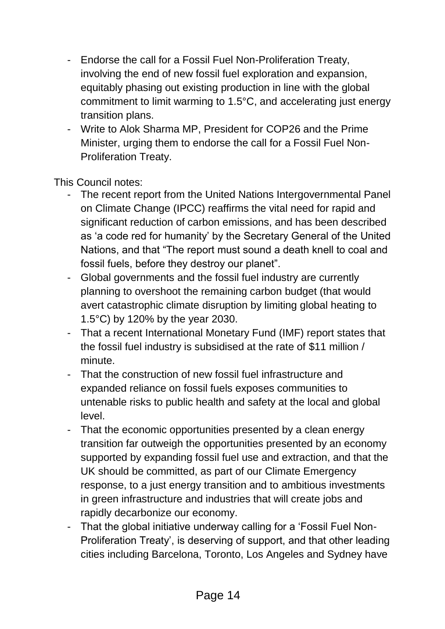- Endorse the call for a Fossil Fuel Non-Proliferation Treaty, involving the end of new fossil fuel exploration and expansion, equitably phasing out existing production in line with the global commitment to limit warming to 1.5°C, and accelerating just energy transition plans.
- Write to Alok Sharma MP, President for COP26 and the Prime Minister, urging them to endorse the call for a Fossil Fuel Non-Proliferation Treaty.

This Council notes:

- The recent report from the United Nations Intergovernmental Panel on Climate Change (IPCC) reaffirms the vital need for rapid and significant reduction of carbon emissions, and has been described as 'a code red for humanity' by the Secretary General of the United Nations, and that "The report must sound a death knell to coal and fossil fuels, before they destroy our planet".
- Global governments and the fossil fuel industry are currently planning to overshoot the remaining carbon budget (that would avert catastrophic climate disruption by limiting global heating to 1.5°C) by 120% by the year 2030.
- That a recent International Monetary Fund (IMF) report states that the fossil fuel industry is subsidised at the rate of \$11 million / minute.
- That the construction of new fossil fuel infrastructure and expanded reliance on fossil fuels exposes communities to untenable risks to public health and safety at the local and global level.
- That the economic opportunities presented by a clean energy transition far outweigh the opportunities presented by an economy supported by expanding fossil fuel use and extraction, and that the UK should be committed, as part of our Climate Emergency response, to a just energy transition and to ambitious investments in green infrastructure and industries that will create jobs and rapidly decarbonize our economy.
- That the global initiative underway calling for a 'Fossil Fuel Non-Proliferation Treaty', is deserving of support, and that other leading cities including Barcelona, Toronto, Los Angeles and Sydney have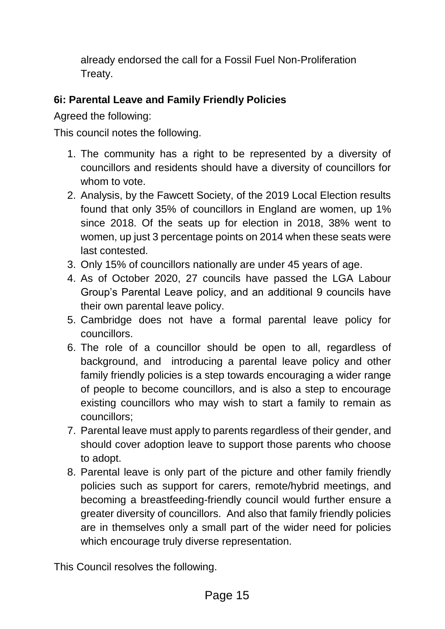already endorsed the call for a Fossil Fuel Non-Proliferation Treaty.

## **6i: Parental Leave and Family Friendly Policies**

Agreed the following:

This council notes the following.

- 1. The community has a right to be represented by a diversity of councillors and residents should have a diversity of councillors for whom to vote.
- 2. Analysis, by the Fawcett Society, of the 2019 Local Election results found that only 35% of councillors in England are women, up 1% since 2018. Of the seats up for election in 2018, 38% went to women, up just 3 percentage points on 2014 when these seats were last contested.
- 3. Only 15% of councillors nationally are under 45 years of age.
- 4. As of October 2020, 27 councils have passed the LGA Labour Group's Parental Leave policy, and an additional 9 councils have their own parental leave policy.
- 5. Cambridge does not have a formal parental leave policy for councillors.
- 6. The role of a councillor should be open to all, regardless of background, and introducing a parental leave policy and other family friendly policies is a step towards encouraging a wider range of people to become councillors, and is also a step to encourage existing councillors who may wish to start a family to remain as councillors;
- 7. Parental leave must apply to parents regardless of their gender, and should cover adoption leave to support those parents who choose to adopt.
- 8. Parental leave is only part of the picture and other family friendly policies such as support for carers, remote/hybrid meetings, and becoming a breastfeeding-friendly council would further ensure a greater diversity of councillors. And also that family friendly policies are in themselves only a small part of the wider need for policies which encourage truly diverse representation.

This Council resolves the following.